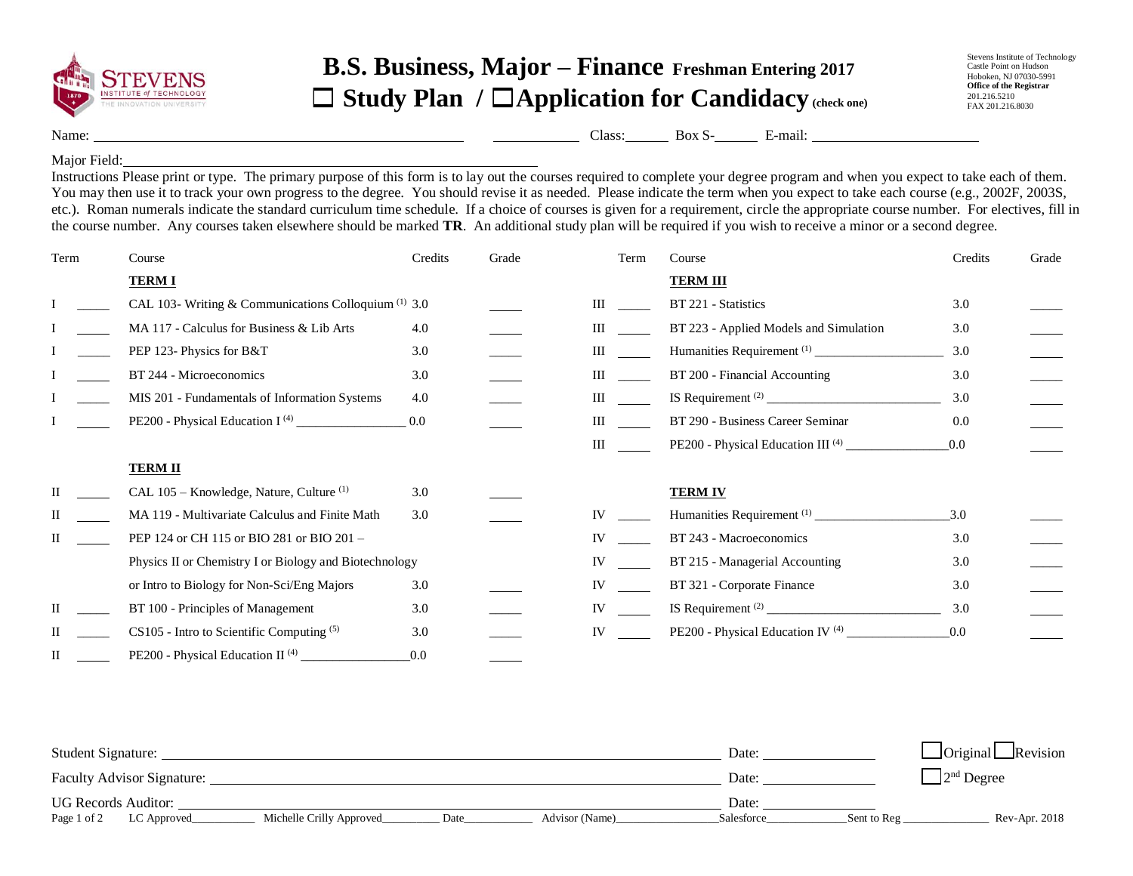

## **B.S. Business, Major – Finance Freshman Entering 2017** ☐ **Study Plan /** ☐**Application for Candidacy (check one)**

Name: <u>Class: Box S- E-mail: E-mail:</u> Class: Box S- E-mail: E-mail: E-mail: E-mail: E-mail: E-mail: E-mail: E-mail: E-mail: E-mail: E-mail: E-mail: E-mail: E-mail: E-mail: E-mail: E-mail: E-mail: E-mail: E-mail: E-mail: E-

## Major Field:

Instructions Please print or type. The primary purpose of this form is to lay out the courses required to complete your degree program and when you expect to take each of them. You may then use it to track your own progress to the degree. You should revise it as needed. Please indicate the term when you expect to take each course (e.g., 2002F, 2003S, etc.). Roman numerals indicate the standard curriculum time schedule. If a choice of courses is given for a requirement, circle the appropriate course number. For electives, fill in the course number. Any courses taken elsewhere should be marked **TR**. An additional study plan will be required if you wish to receive a minor or a second degree.

| Term | Course                                                          | Credits | Grade | Term      | Course                                        | Credits | Grade |
|------|-----------------------------------------------------------------|---------|-------|-----------|-----------------------------------------------|---------|-------|
|      | <b>TERMI</b>                                                    |         |       |           | <b>TERM III</b>                               |         |       |
|      | CAL 103- Writing & Communications Colloquium <sup>(1)</sup> 3.0 |         |       | Ш         | BT 221 - Statistics                           | 3.0     |       |
|      | MA 117 - Calculus for Business & Lib Arts                       | 4.0     |       | Ш         | BT 223 - Applied Models and Simulation        | 3.0     |       |
|      | PEP 123- Physics for B&T                                        | 3.0     |       | Ш         |                                               | 3.0     |       |
|      | BT 244 - Microeconomics                                         | 3.0     |       | Ш         | BT 200 - Financial Accounting                 | 3.0     |       |
|      | MIS 201 - Fundamentals of Information Systems                   | 4.0     |       | Ш         |                                               | 3.0     |       |
|      |                                                                 | 0.0     |       | Ш         | BT 290 - Business Career Seminar              | 0.0     |       |
|      |                                                                 |         |       | Ш         | PE200 - Physical Education III <sup>(4)</sup> | 0.0     |       |
|      | <b>TERM II</b>                                                  |         |       |           |                                               |         |       |
|      | CAL 105 – Knowledge, Nature, Culture <sup>(1)</sup>             | 3.0     |       |           | <b>TERM IV</b>                                |         |       |
|      | MA 119 - Multivariate Calculus and Finite Math                  | 3.0     |       | IV        |                                               | 3.0     |       |
|      | PEP 124 or CH 115 or BIO 281 or BIO 201 -                       |         |       | IV        | BT 243 - Macroeconomics                       | 3.0     |       |
|      | Physics II or Chemistry I or Biology and Biotechnology          |         |       | IV        | BT 215 - Managerial Accounting                | 3.0     |       |
|      | or Intro to Biology for Non-Sci/Eng Majors                      | 3.0     |       | IV        | BT 321 - Corporate Finance                    | 3.0     |       |
|      | BT 100 - Principles of Management                               | 3.0     |       | <b>IV</b> |                                               | 3.0     |       |
|      | $CS105$ - Intro to Scientific Computing $(5)$                   | 3.0     |       | <b>IV</b> | PE200 - Physical Education IV <sup>(4)</sup>  | 0.0     |       |
|      | PE200 - Physical Education II <sup>(4)</sup>                    | 0.0     |       |           |                                               |         |       |

| Student Signature:                |                          |      |                | Date:      |             | $\Box$ Original $\Box$ Revision |
|-----------------------------------|--------------------------|------|----------------|------------|-------------|---------------------------------|
| <b>Faculty Advisor Signature:</b> |                          |      |                | Date:      |             | $2nd$ Degree                    |
| <b>UG Records Auditor:</b>        |                          |      |                | Date:      |             |                                 |
| Page 1 of 2<br>LC Approved        | Michelle Crilly Approved | Date | Advisor (Name) | Salesforce | Sent to Reg | Rev-Apr. 2018                   |